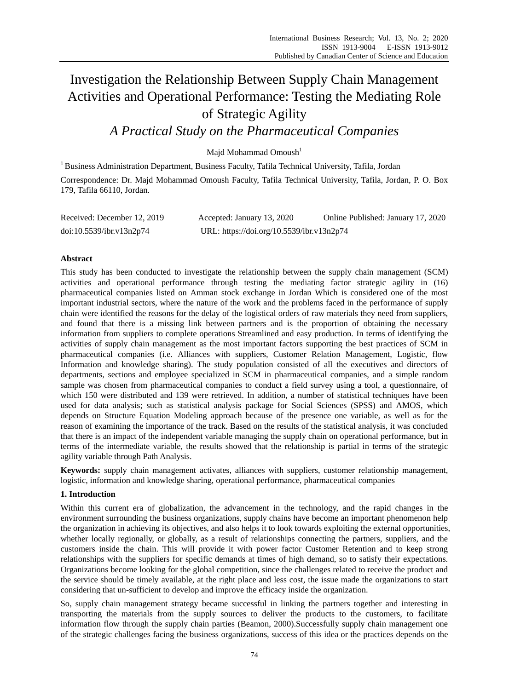# Investigation the Relationship Between Supply Chain Management Activities and Operational Performance: Testing the Mediating Role of Strategic Agility

*A Practical Study on the Pharmaceutical Companies*

Majd Mohammad Omoush<sup>1</sup>

<sup>1</sup> Business Administration Department, Business Faculty, Tafila Technical University, Tafila, Jordan

Correspondence: Dr. Majd Mohammad Omoush Faculty, Tafila Technical University, Tafila, Jordan, P. O. Box 179, Tafila 66110, Jordan.

| Received: December 12, 2019 | Accepted: January 13, 2020                | Online Published: January 17, 2020 |
|-----------------------------|-------------------------------------------|------------------------------------|
| doi:10.5539/ibr.v13n2p74    | URL: https://doi.org/10.5539/ibr.v13n2p74 |                                    |

# **Abstract**

This study has been conducted to investigate the relationship between the supply chain management (SCM) activities and operational performance through testing the mediating factor strategic agility in (16) pharmaceutical companies listed on Amman stock exchange in Jordan Which is considered one of the most important industrial sectors, where the nature of the work and the problems faced in the performance of supply chain were identified the reasons for the delay of the logistical orders of raw materials they need from suppliers, and found that there is a missing link between partners and is the proportion of obtaining the necessary information from suppliers to complete operations Streamlined and easy production. In terms of identifying the activities of supply chain management as the most important factors supporting the best practices of SCM in pharmaceutical companies (i.e. Alliances with suppliers, Customer Relation Management, Logistic, flow Information and knowledge sharing). The study population consisted of all the executives and directors of departments, sections and employee specialized in SCM in pharmaceutical companies, and a simple random sample was chosen from pharmaceutical companies to conduct a field survey using a tool, a questionnaire, of which 150 were distributed and 139 were retrieved. In addition, a number of statistical techniques have been used for data analysis; such as statistical analysis package for Social Sciences (SPSS) and AMOS, which depends on Structure Equation Modeling approach because of the presence one variable, as well as for the reason of examining the importance of the track. Based on the results of the statistical analysis, it was concluded that there is an impact of the independent variable managing the supply chain on operational performance, but in terms of the intermediate variable, the results showed that the relationship is partial in terms of the strategic agility variable through Path Analysis.

**Keywords:** supply chain management activates, alliances with suppliers, customer relationship management, logistic, information and knowledge sharing, operational performance, pharmaceutical companies

# **1. Introduction**

Within this current era of globalization, the advancement in the technology, and the rapid changes in the environment surrounding the business organizations, supply chains have become an important phenomenon help the organization in achieving its objectives, and also helps it to look towards exploiting the external opportunities, whether locally regionally, or globally, as a result of relationships connecting the partners, suppliers, and the customers inside the chain. This will provide it with power factor Customer Retention and to keep strong relationships with the suppliers for specific demands at times of high demand, so to satisfy their expectations. Organizations become looking for the global competition, since the challenges related to receive the product and the service should be timely available, at the right place and less cost, the issue made the organizations to start considering that un-sufficient to develop and improve the efficacy inside the organization.

So, supply chain management strategy became successful in linking the partners together and interesting in transporting the materials from the supply sources to deliver the products to the customers, to facilitate information flow through the supply chain parties (Beamon, 2000).Successfully supply chain management one of the strategic challenges facing the business organizations, success of this idea or the practices depends on the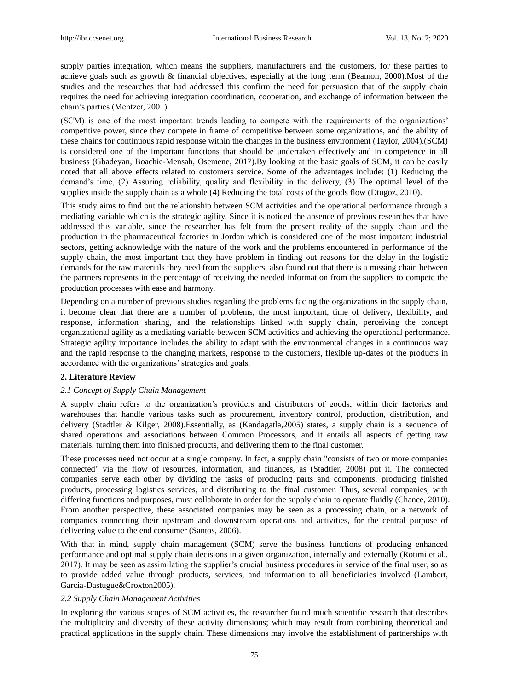supply parties integration, which means the suppliers, manufacturers and the customers, for these parties to achieve goals such as growth & financial objectives, especially at the long term (Beamon, 2000).Most of the studies and the researches that had addressed this confirm the need for persuasion that of the supply chain requires the need for achieving integration coordination, cooperation, and exchange of information between the chain"s parties (Mentzer, 2001).

(SCM) is one of the most important trends leading to compete with the requirements of the organizations" competitive power, since they compete in frame of competitive between some organizations, and the ability of these chains for continuous rapid response within the changes in the business environment (Taylor, 2004).(SCM) is considered one of the important functions that should be undertaken effectively and in competence in all business (Gbadeyan, Boachie-Mensah, Osemene, 2017).By looking at the basic goals of SCM, it can be easily noted that all above effects related to customers service. Some of the advantages include: (1) Reducing the demand"s time, (2) Assuring reliability, quality and flexibility in the delivery, (3) The optimal level of the supplies inside the supply chain as a whole (4) Reducing the total costs of the goods flow (Dtugoz, 2010).

This study aims to find out the relationship between SCM activities and the operational performance through a mediating variable which is the strategic agility. Since it is noticed the absence of previous researches that have addressed this variable, since the researcher has felt from the present reality of the supply chain and the production in the pharmaceutical factories in Jordan which is considered one of the most important industrial sectors, getting acknowledge with the nature of the work and the problems encountered in performance of the supply chain, the most important that they have problem in finding out reasons for the delay in the logistic demands for the raw materials they need from the suppliers, also found out that there is a missing chain between the partners represents in the percentage of receiving the needed information from the suppliers to compete the production processes with ease and harmony.

Depending on a number of previous studies regarding the problems facing the organizations in the supply chain, it become clear that there are a number of problems, the most important, time of delivery, flexibility, and response, information sharing, and the relationships linked with supply chain, perceiving the concept organizational agility as a mediating variable between SCM activities and achieving the operational performance. Strategic agility importance includes the ability to adapt with the environmental changes in a continuous way and the rapid response to the changing markets, response to the customers, flexible up-dates of the products in accordance with the organizations" strategies and goals.

#### **2. Literature Review**

#### *2.1 Concept of Supply Chain Management*

A supply chain refers to the organization"s providers and distributors of goods, within their factories and warehouses that handle various tasks such as procurement, inventory control, production, distribution, and delivery (Stadtler & Kilger, 2008).Essentially, as (Kandagatla,2005) states, a supply chain is a sequence of shared operations and associations between Common Processors, and it entails all aspects of getting raw materials, turning them into finished products, and delivering them to the final customer.

These processes need not occur at a single company. In fact, a supply chain "consists of two or more companies connected" via the flow of resources, information, and finances, as (Stadtler, 2008) put it. The connected companies serve each other by dividing the tasks of producing parts and components, producing finished products, processing logistics services, and distributing to the final customer. Thus, several companies, with differing functions and purposes, must collaborate in order for the supply chain to operate fluidly (Chance, 2010). From another perspective, these associated companies may be seen as a processing chain, or a network of companies connecting their upstream and downstream operations and activities, for the central purpose of delivering value to the end consumer (Santos, 2006).

With that in mind, supply chain management (SCM) serve the business functions of producing enhanced performance and optimal supply chain decisions in a given organization, internally and externally (Rotimi et al., 2017). It may be seen as assimilating the supplier"s crucial business procedures in service of the final user, so as to provide added value through products, services, and information to all beneficiaries involved (Lambert, Garc *f*a-Dastugue&Croxton2005).

#### *2.2 Supply Chain Management Activities*

In exploring the various scopes of SCM activities, the researcher found much scientific research that describes the multiplicity and diversity of these activity dimensions; which may result from combining theoretical and practical applications in the supply chain. These dimensions may involve the establishment of partnerships with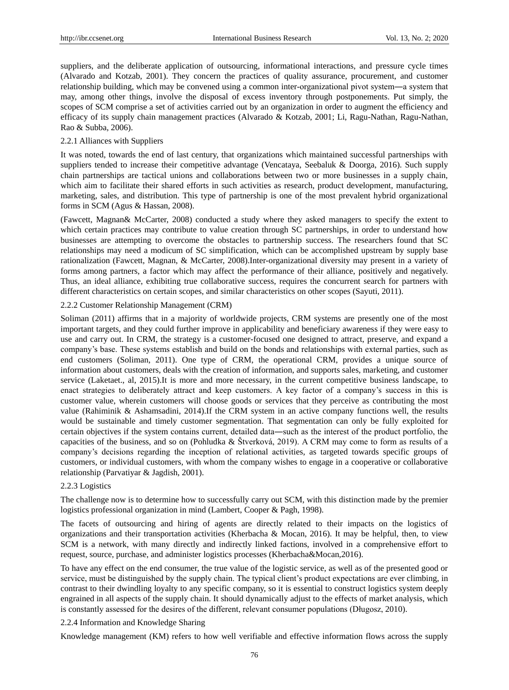suppliers, and the deliberate application of outsourcing, informational interactions, and pressure cycle times (Alvarado and Kotzab, 2001). They concern the practices of quality assurance, procurement, and customer relationship building, which may be convened using a common inter-organizational pivot system―a system that may, among other things, involve the disposal of excess inventory through postponements. Put simply, the scopes of SCM comprise a set of activities carried out by an organization in order to augment the efficiency and efficacy of its supply chain management practices (Alvarado & Kotzab, 2001; Li, Ragu-Nathan, Ragu-Nathan, Rao & Subba, 2006).

#### 2.2.1 Alliances with Suppliers

It was noted, towards the end of last century, that organizations which maintained successful partnerships with suppliers tended to increase their competitive advantage (Vencataya, Seebaluk & Doorga, 2016). Such supply chain partnerships are tactical unions and collaborations between two or more businesses in a supply chain, which aim to facilitate their shared efforts in such activities as research, product development, manufacturing, marketing, sales, and distribution. This type of partnership is one of the most prevalent hybrid organizational forms in SCM (Agus & Hassan, 2008).

(Fawcett, Magnan& McCarter, 2008) conducted a study where they asked managers to specify the extent to which certain practices may contribute to value creation through SC partnerships, in order to understand how businesses are attempting to overcome the obstacles to partnership success. The researchers found that SC relationships may need a modicum of SC simplification, which can be accomplished upstream by supply base rationalization (Fawcett, Magnan, & McCarter, 2008).Inter-organizational diversity may present in a variety of forms among partners, a factor which may affect the performance of their alliance, positively and negatively. Thus, an ideal alliance, exhibiting true collaborative success, requires the concurrent search for partners with different characteristics on certain scopes, and similar characteristics on other scopes (Sayuti, 2011).

#### 2.2.2 Customer Relationship Management (CRM)

Soliman (2011) affirms that in a majority of worldwide projects, CRM systems are presently one of the most important targets, and they could further improve in applicability and beneficiary awareness if they were easy to use and carry out. In CRM, the strategy is a customer-focused one designed to attract, preserve, and expand a company"s base. These systems establish and build on the bonds and relationships with external parties, such as end customers (Soliman, 2011). One type of CRM, the operational CRM, provides a unique source of information about customers, deals with the creation of information, and supports sales, marketing, and customer service (Laketaet., al, 2015).It is more and more necessary, in the current competitive business landscape, to enact strategies to deliberately attract and keep customers. A key factor of a company"s success in this is customer value, wherein customers will choose goods or services that they perceive as contributing the most value (Rahiminik & Ashamsadini, 2014).If the CRM system in an active company functions well, the results would be sustainable and timely customer segmentation. That segmentation can only be fully exploited for certain objectives if the system contains current, detailed data―such as the interest of the product portfolio, the capacities of the business, and so on (Pohludka & Štverková, 2019). A CRM may come to form as results of a company"s decisions regarding the inception of relational activities, as targeted towards specific groups of customers, or individual customers, with whom the company wishes to engage in a cooperative or collaborative relationship (Parvatiyar & Jagdish, 2001).

#### 2.2.3 Logistics

The challenge now is to determine how to successfully carry out SCM, with this distinction made by the premier logistics professional organization in mind (Lambert, Cooper & Pagh, 1998).

The facets of outsourcing and hiring of agents are directly related to their impacts on the logistics of organizations and their transportation activities (Kherbacha & Mocan, 2016). It may be helpful, then, to view SCM is a network, with many directly and indirectly linked factions, involved in a comprehensive effort to request, source, purchase, and administer logistics processes (Kherbacha&Mocan,2016).

To have any effect on the end consumer, the true value of the logistic service, as well as of the presented good or service, must be distinguished by the supply chain. The typical client"s product expectations are ever climbing, in contrast to their dwindling loyalty to any specific company, so it is essential to construct logistics system deeply engrained in all aspects of the supply chain. It should dynamically adjust to the effects of market analysis, which is constantly assessed for the desires of the different, relevant consumer populations (Długosz, 2010).

#### 2.2.4 Information and Knowledge Sharing

Knowledge management (KM) refers to how well verifiable and effective information flows across the supply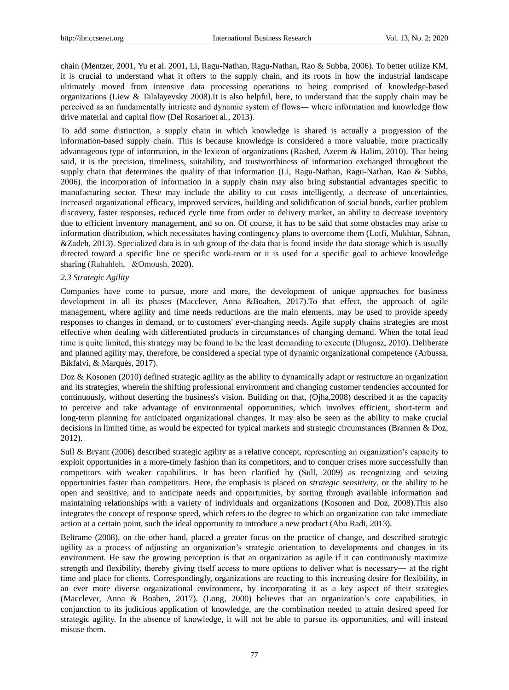chain (Mentzer, 2001, Yu et al. 2001, Li, Ragu-Nathan, Ragu-Nathan, Rao & Subba, 2006). To better utilize KM, it is crucial to understand what it offers to the supply chain, and its roots in how the industrial landscape ultimately moved from intensive data processing operations to being comprised of knowledge-based organizations (Liew & Talalayevsky 2008).It is also helpful, here, to understand that the supply chain may be perceived as an fundamentally intricate and dynamic system of flows― where information and knowledge flow drive material and capital flow (Del Rosarioet al., 2013).

To add some distinction, a supply chain in which knowledge is shared is actually a progression of the information-based supply chain. This is because knowledge is considered a more valuable, more practically advantageous type of information, in the lexicon of organizations (Rashed, Azeem & Halim, 2010). That being said, it is the precision, timeliness, suitability, and trustworthiness of information exchanged throughout the supply chain that determines the quality of that information (Li, Ragu-Nathan, Ragu-Nathan, Rao & Subba, 2006). the incorporation of information in a supply chain may also bring substantial advantages specific to manufacturing sector. These may include the ability to cut costs intelligently, a decrease of uncertainties, increased organizational efficacy, improved services, building and solidification of social bonds, earlier problem discovery, faster responses, reduced cycle time from order to delivery market, an ability to decrease inventory due to efficient inventory management, and so on. Of course, it has to be said that some obstacles may arise to information distribution, which necessitates having contingency plans to overcome them (Lotfi, Mukhtar, Sahran, &Zadeh, 2013). Specialized data is in sub group of the data that is found inside the data storage which is usually directed toward a specific line or specific work-team or it is used for a specific goal to achieve knowledge sharing (Rahahleh, &Omoush, 2020).

#### *2.3 Strategic Agility*

Companies have come to pursue, more and more, the development of unique approaches for business development in all its phases (Macclever, Anna &Boahen, 2017).To that effect, the approach of agile management, where agility and time needs reductions are the main elements, may be used to provide speedy responses to changes in demand, or to customers' ever-changing needs. Agile supply chains strategies are most effective when dealing with differentiated products in circumstances of changing demand. When the total lead time is quite limited, this strategy may be found to be the least demanding to execute (Długosz, 2010). Deliberate and planned agility may, therefore, be considered a special type of dynamic organizational competence (Arbussa, Bikfalvi, & Marquès, 2017).

Doz & Kosonen (2010) defined strategic agility as the ability to dynamically adapt or restructure an organization and its strategies, wherein the shifting professional environment and changing customer tendencies accounted for continuously, without deserting the business's vision. Building on that, (Ojha,2008) described it as the capacity to perceive and take advantage of environmental opportunities, which involves efficient, short-term and long-term planning for anticipated organizational changes. It may also be seen as the ability to make crucial decisions in limited time, as would be expected for typical markets and strategic circumstances (Brannen & Doz, 2012).

Sull & Bryant (2006) described strategic agility as a relative concept, representing an organization"s capacity to exploit opportunities in a more-timely fashion than its competitors, and to conquer crises more successfully than competitors with weaker capabilities. It has been clarified by (Sull, 2009) as recognizing and seizing opportunities faster than competitors. Here, the emphasis is placed on *strategic sensitivity*, or the ability to be open and sensitive, and to anticipate needs and opportunities, by sorting through available information and maintaining relationships with a variety of individuals and organizations (Kosonen and Doz, 2008).This also integrates the concept of response speed, which refers to the degree to which an organization can take immediate action at a certain point, such the ideal opportunity to introduce a new product (Abu Radi, 2013).

Beltrame (2008), on the other hand, placed a greater focus on the practice of change, and described strategic agility as a process of adjusting an organization"s strategic orientation to developments and changes in its environment. He saw the growing perception is that an organization as agile if it can continuously maximize strength and flexibility, thereby giving itself access to more options to deliver what is necessary― at the right time and place for clients. Correspondingly, organizations are reacting to this increasing desire for flexibility, in an ever more diverse organizational environment, by incorporating it as a key aspect of their strategies (Macclever, Anna & Boahen, 2017). (Long, 2000) believes that an organization"s core capabilities, in conjunction to its judicious application of knowledge, are the combination needed to attain desired speed for strategic agility. In the absence of knowledge, it will not be able to pursue its opportunities, and will instead misuse them.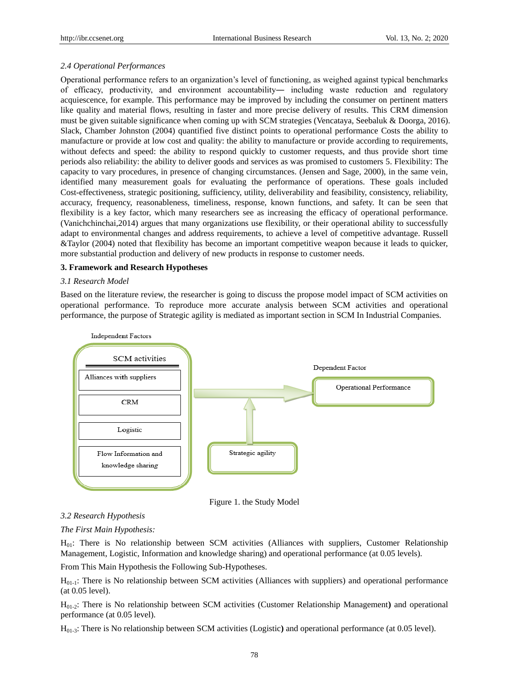#### *2.4 Operational Performances*

Operational performance refers to an organization"s level of functioning, as weighed against typical benchmarks of efficacy, productivity, and environment accountability― including waste reduction and regulatory acquiescence, for example. This performance may be improved by including the consumer on pertinent matters like quality and material flows, resulting in faster and more precise delivery of results. This CRM dimension must be given suitable significance when coming up with SCM strategies (Vencataya, Seebaluk & Doorga, 2016). Slack, Chamber Johnston (2004) quantified five distinct points to operational performance Costs the ability to manufacture or provide at low cost and quality: the ability to manufacture or provide according to requirements, without defects and speed: the ability to respond quickly to customer requests, and thus provide short time periods also reliability: the ability to deliver goods and services as was promised to customers 5. Flexibility: The capacity to vary procedures, in presence of changing circumstances. (Jensen and Sage, 2000), in the same vein, identified many measurement goals for evaluating the performance of operations. These goals included Cost-effectiveness, strategic positioning, sufficiency, utility, deliverability and feasibility, consistency, reliability, accuracy, frequency, reasonableness, timeliness, response, known functions, and safety. It can be seen that flexibility is a key factor, which many researchers see as increasing the efficacy of operational performance. (Vanichchinchai,2014) argues that many organizations use flexibility, or their operational ability to successfully adapt to environmental changes and address requirements, to achieve a level of competitive advantage. Russell &Taylor (2004) noted that flexibility has become an important competitive weapon because it leads to quicker, more substantial production and delivery of new products in response to customer needs.

#### **3. Framework and Research Hypotheses**

#### *3.1 Research Model*

Based on the literature review, the researcher is going to discuss the propose model impact of SCM activities on operational performance. To reproduce more accurate analysis between SCM activities and operational performance, the purpose of Strategic agility is mediated as important section in SCM In Industrial Companies.





#### *3.2 Research Hypothesis*

#### *The First Main Hypothesis:*

H01: There is No relationship between SCM activities (Alliances with suppliers, Customer Relationship Management, Logistic, Information and knowledge sharing) and operational performance (at 0.05 levels).

From This Main Hypothesis the Following Sub-Hypotheses.

 $H<sub>01-1</sub>$ : There is No relationship between SCM activities (Alliances with suppliers) and operational performance (at 0.05 level).

H01-2: There is No relationship between SCM activities (Customer Relationship Management**)** and operational performance (at 0.05 level).

H01-3: There is No relationship between SCM activities (Logistic**)** and operational performance (at 0.05 level).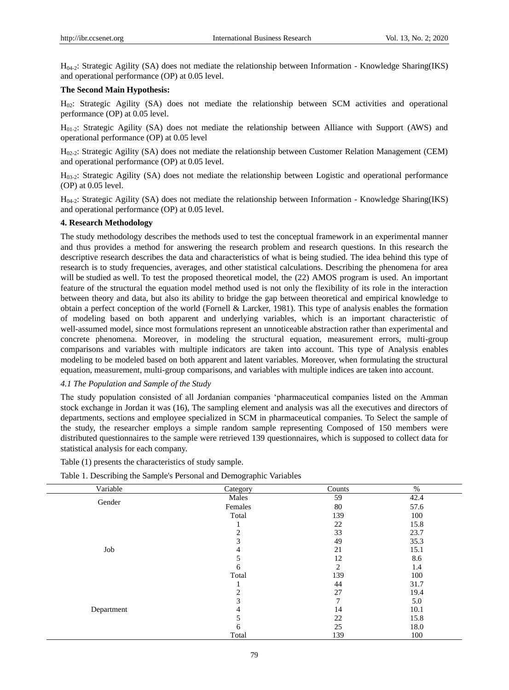$H_{04-2}$ : Strategic Agility (SA) does not mediate the relationship between Information - Knowledge Sharing(IKS) and operational performance (OP) at 0.05 level.

#### **The Second Main Hypothesis:**

 $H<sub>02</sub>$ : Strategic Agility (SA) does not mediate the relationship between SCM activities and operational performance (OP) at 0.05 level.

H01-2: Strategic Agility (SA) does not mediate the relationship between Alliance with Support (AWS) and operational performance (OP) at 0.05 level

H02-2: Strategic Agility (SA) does not mediate the relationship between Customer Relation Management (CEM) and operational performance (OP) at 0.05 level.

H03-2: Strategic Agility (SA) does not mediate the relationship between Logistic and operational performance (OP) at 0.05 level.

 $H_{04-2}$ : Strategic Agility (SA) does not mediate the relationship between Information - Knowledge Sharing(IKS) and operational performance (OP) at 0.05 level.

#### **4. Research Methodology**

The study methodology describes the methods used to test the conceptual framework in an experimental manner and thus provides a method for answering the research problem and research questions. In this research the descriptive research describes the data and characteristics of what is being studied. The idea behind this type of research is to study frequencies, averages, and other statistical calculations. Describing the phenomena for area will be studied as well. To test the proposed theoretical model, the (22) AMOS program is used. An important feature of the structural the equation model method used is not only the flexibility of its role in the interaction between theory and data, but also its ability to bridge the gap between theoretical and empirical knowledge to obtain a perfect conception of the world (Fornell & Larcker, 1981). This type of analysis enables the formation of modeling based on both apparent and underlying variables, which is an important characteristic of well-assumed model, since most formulations represent an unnoticeable abstraction rather than experimental and concrete phenomena. Moreover, in modeling the structural equation, measurement errors, multi-group comparisons and variables with multiple indicators are taken into account. This type of Analysis enables modeling to be modeled based on both apparent and latent variables. Moreover, when formulating the structural equation, measurement, multi-group comparisons, and variables with multiple indices are taken into account.

#### *4.1 The Population and Sample of the Study*

The study population consisted of all Jordanian companies "pharmaceutical companies listed on the Amman stock exchange in Jordan it was (16), The sampling element and analysis was all the executives and directors of departments, sections and employee specialized in SCM in pharmaceutical companies. To Select the sample of the study, the researcher employs a simple random sample representing Composed of 150 members were distributed questionnaires to the sample were retrieved 139 questionnaires, which is supposed to collect data for statistical analysis for each company.

Table (1) presents the characteristics of study sample.

Table 1. Describing the Sample's Personal and Demographic Variables

| Variable   | Category       | Counts         | $\%$ |
|------------|----------------|----------------|------|
| Gender     | Males          | 59             | 42.4 |
|            | Females        | 80             | 57.6 |
|            | Total          | 139            | 100  |
|            |                | 22             | 15.8 |
|            | $\overline{2}$ | 33             | 23.7 |
|            | 3              | 49             | 35.3 |
| Job        | 4              | 21             | 15.1 |
|            | 5              | 12             | 8.6  |
|            | 6              | $\overline{2}$ | 1.4  |
|            | Total          | 139            | 100  |
|            |                | 44             | 31.7 |
|            | 2              | 27             | 19.4 |
|            | 3              | $\mathcal{I}$  | 5.0  |
| Department | 4              | 14             | 10.1 |
|            | 5              | 22             | 15.8 |
|            | 6              | 25             | 18.0 |
|            | Total          | 139            | 100  |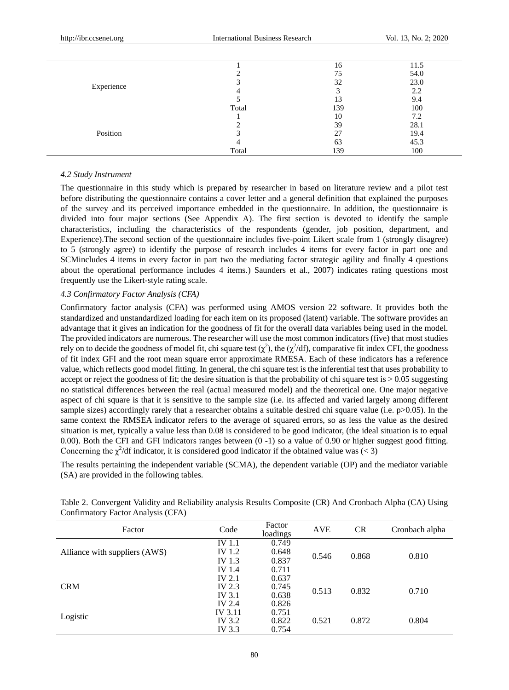|            |       | 16  | 11.5 |
|------------|-------|-----|------|
|            |       | 75  | 54.0 |
|            |       | 32  | 23.0 |
| Experience |       |     | 2.2  |
|            |       | 13  | 9.4  |
|            | Total | 139 | 100  |
| Position   |       | 10  | 7.2  |
|            |       | 39  | 28.1 |
|            |       | 27  | 19.4 |
|            |       | 63  | 45.3 |
|            | Total | 139 | 100  |

#### *4.2 Study Instrument*

The questionnaire in this study which is prepared by researcher in based on literature review and a pilot test before distributing the questionnaire contains a cover letter and a general definition that explained the purposes of the survey and its perceived importance embedded in the questionnaire. In addition, the questionnaire is divided into four major sections (See Appendix A). The first section is devoted to identify the sample characteristics, including the characteristics of the respondents (gender, job position, department, and Experience).The second section of the questionnaire includes five-point Likert scale from 1 (strongly disagree) to 5 (strongly agree) to identify the purpose of research includes 4 items for every factor in part one and SCMincludes 4 items in every factor in part two the mediating factor strategic agility and finally 4 questions about the operational performance includes 4 items.) Saunders et al., 2007) indicates rating questions most frequently use the Likert-style rating scale.

#### *4.3 Confirmatory Factor Analysis (CFA)*

Confirmatory factor analysis (CFA) was performed using AMOS version 22 software. It provides both the standardized and unstandardized loading for each item on its proposed (latent) variable. The software provides an advantage that it gives an indication for the goodness of fit for the overall data variables being used in the model. The provided indicators are numerous. The researcher will use the most common indicators (five) that most studies rely on to decide the goodness of model fit, chi square test ( $\chi^2$ ), the ( $\chi^2$ /df), comparative fit index CFI, the goodness of fit index GFI and the root mean square error approximate RMESA. Each of these indicators has a reference value, which reflects good model fitting. In general, the chi square test is the inferential test that uses probability to accept or reject the goodness of fit; the desire situation is that the probability of chi square test is  $> 0.05$  suggesting no statistical differences between the real (actual measured model) and the theoretical one. One major negative aspect of chi square is that it is sensitive to the sample size (i.e. its affected and varied largely among different sample sizes) accordingly rarely that a researcher obtains a suitable desired chi square value (i.e. p>0.05). In the same context the RMSEA indicator refers to the average of squared errors, so as less the value as the desired situation is met, typically a value less than 0.08 is considered to be good indicator, (the ideal situation is to equal 0.00). Both the CFI and GFI indicators ranges between (0 -1) so a value of 0.90 or higher suggest good fitting. Concerning the  $\chi^2$ /df indicator, it is considered good indicator if the obtained value was (< 3)

The results pertaining the independent variable (SCMA), the dependent variable (OP) and the mediator variable (SA) are provided in the following tables.

| Factor                        | Code          | Factor<br>loadings | <b>AVE</b> | <b>CR</b> | Cronbach alpha |
|-------------------------------|---------------|--------------------|------------|-----------|----------------|
|                               | <b>IV</b> 1.1 | 0.749              |            |           |                |
| Alliance with suppliers (AWS) | IV 1.2        | 0.648              | 0.546      | 0.868     | 0.810          |
|                               | IV 1.3        | 0.837              |            |           |                |
|                               | <b>IV</b> 1.4 | 0.711              |            |           |                |
|                               | <b>IV</b> 2.1 | 0.637              |            |           |                |
| <b>CRM</b>                    | IV 2.3        | 0.745              | 0.513      | 0.832     | 0.710          |
|                               | IV 3.1        | 0.638              |            |           |                |
|                               | <b>IV 2.4</b> | 0.826              |            |           |                |
| Logistic                      | IV 3.11       | 0.751              |            |           |                |
|                               | IV 3.2        | 0.822              | 0.521      | 0.872     | 0.804          |
|                               | IV 3.3        | 0.754              |            |           |                |

Table 2. Convergent Validity and Reliability analysis Results Composite (CR) And Cronbach Alpha (CA) Using Confirmatory Factor Analysis (CFA)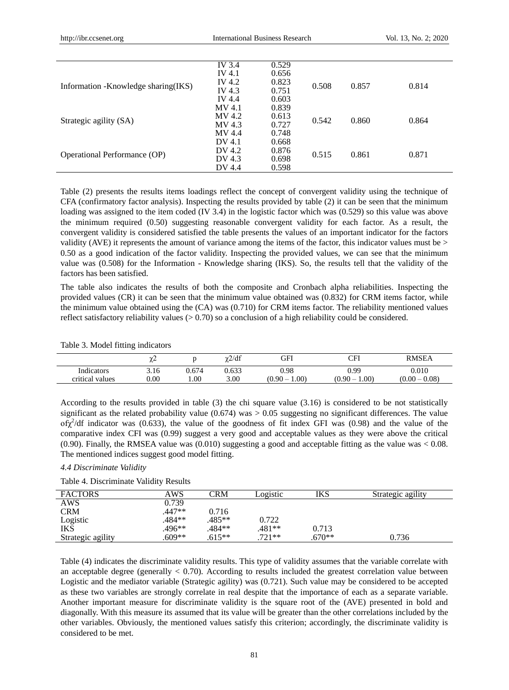| Information - Knowledge sharing (IKS) | IV 3.4<br>IV 4.1<br><b>IV 4.2</b><br>IV 4.3 | 0.529<br>0.656<br>0.823<br>0.751 | 0.508 | 0.857 | 0.814 |
|---------------------------------------|---------------------------------------------|----------------------------------|-------|-------|-------|
|                                       | <b>IV 4.4</b><br>MV 4.1                     | 0.603<br>0.839                   |       |       |       |
| Strategic agility (SA)                | MV 4.2<br>MV 4.3<br>MV 4.4                  | 0.613<br>0.727<br>0.748          | 0.542 | 0.860 | 0.864 |
| <b>Operational Performance (OP)</b>   | DV 4.1<br>DV 4.2<br>DV 4.3<br>DV 4.4        | 0.668<br>0.876<br>0.698<br>0.598 | 0.515 | 0.861 | 0.871 |

Table (2) presents the results items loadings reflect the concept of convergent validity using the technique of CFA (confirmatory factor analysis). Inspecting the results provided by table (2) it can be seen that the minimum loading was assigned to the item coded (IV 3.4) in the logistic factor which was (0.529) so this value was above the minimum required (0.50) suggesting reasonable convergent validity for each factor. As a result, the convergent validity is considered satisfied the table presents the values of an important indicator for the factors validity (AVE) it represents the amount of variance among the items of the factor, this indicator values must be > 0.50 as a good indication of the factor validity. Inspecting the provided values, we can see that the minimum value was (0.508) for the Information - Knowledge sharing (IKS). So, the results tell that the validity of the factors has been satisfied.

The table also indicates the results of both the composite and Cronbach alpha reliabilities. Inspecting the provided values (CR) it can be seen that the minimum value obtained was (0.832) for CRM items factor, while the minimum value obtained using the (CA) was (0.710) for CRM items factor. The reliability mentioned values reflect satisfactory reliability values  $(0.70)$  so a conclusion of a high reliability could be considered.

#### Table 3. Model fitting indicators

|                 | $\sim$   |       | $\gamma$ 2/df | GFI               | CFI                                        | <b>RMSEA</b>      |
|-----------------|----------|-------|---------------|-------------------|--------------------------------------------|-------------------|
| Indicators      | 3.16     | 0.674 | 0.633         | 0.98              | 0.99                                       | 0.010             |
| critical values | $0.00\,$ | 1.00  | 3.00          | 1.00<br>$(0.90 -$ | (00.1)<br>0.90<br>$\overline{\phantom{0}}$ | 0.08<br>$(0.00 -$ |

According to the results provided in table (3) the chi square value (3.16) is considered to be not statistically significant as the related probability value  $(0.674)$  was  $> 0.05$  suggesting no significant differences. The value of $\chi^2$ /df indicator was (0.633), the value of the goodness of fit index GFI was (0.98) and the value of the comparative index CFI was (0.99) suggest a very good and acceptable values as they were above the critical  $(0.90)$ . Finally, the RMSEA value was  $(0.010)$  suggesting a good and acceptable fitting as the value was  $< 0.08$ . The mentioned indices suggest good model fitting.

### *4.4 Discriminate Validity*

| <b>FACTORS</b>    | AWS    | CRM      | ∟ogistic | IKS      | Strategic agility |
|-------------------|--------|----------|----------|----------|-------------------|
| AWS               | 0.739  |          |          |          |                   |
| <b>CRM</b>        | .447** | 0.716    |          |          |                   |
| Logistic          | .484** | .485**   | 0.722    |          |                   |
| <b>IKS</b>        | 496**  | .484**   | .481**   | 0.713    |                   |
| Strategic agility | .609** | $.615**$ | .721**   | $.670**$ | 0.736             |

Table (4) indicates the discriminate validity results. This type of validity assumes that the variable correlate with an acceptable degree (generally  $< 0.70$ ). According to results included the greatest correlation value between Logistic and the mediator variable (Strategic agility) was (0.721). Such value may be considered to be accepted as these two variables are strongly correlate in real despite that the importance of each as a separate variable. Another important measure for discriminate validity is the square root of the (AVE) presented in bold and diagonally. With this measure its assumed that its value will be greater than the other correlations included by the other variables. Obviously, the mentioned values satisfy this criterion; accordingly, the discriminate validity is considered to be met.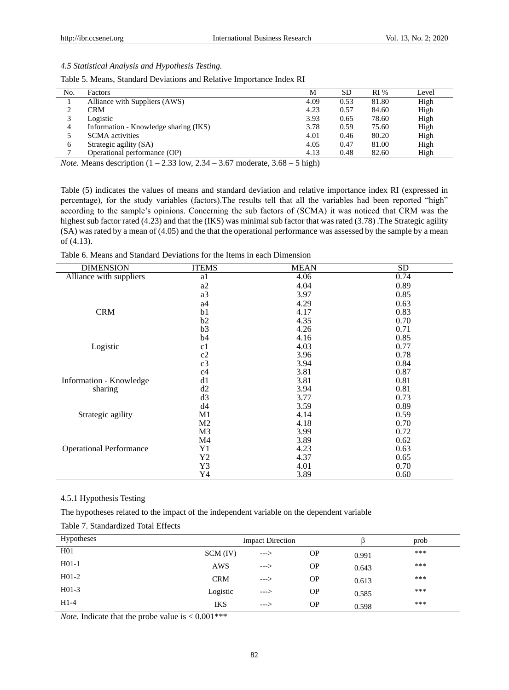#### *4.5 Statistical Analysis and Hypothesis Testing.*

Table 5. Means, Standard Deviations and Relative Importance Index RI

| No. | Factors                               | М    | <b>SD</b> | RI%   | Level |
|-----|---------------------------------------|------|-----------|-------|-------|
|     | Alliance with Suppliers (AWS)         | 4.09 | 0.53      | 81.80 | High  |
|     | <b>CRM</b>                            | 4.23 | 0.57      | 84.60 | High  |
|     | Logistic                              | 3.93 | 0.65      | 78.60 | High  |
| 4   | Information - Knowledge sharing (IKS) | 3.78 | 0.59      | 75.60 | High  |
|     | <b>SCMA</b> activities                | 4.01 | 0.46      | 80.20 | High  |
| 6   | Strategic agility (SA)                | 4.05 | 0.47      | 81.00 | High  |
|     | Operational performance (OP)          | 4.13 | 0.48      | 82.60 | High  |

*Note.* Means description  $(1 – 2.33$  low,  $2.34 – 3.67$  moderate,  $3.68 – 5$  high)

Table (5) indicates the values of means and standard deviation and relative importance index RI (expressed in percentage), for the study variables (factors).The results tell that all the variables had been reported "high" according to the sample"s opinions. Concerning the sub factors of (SCMA) it was noticed that CRM was the highest sub factor rated (4.23) and that the (IKS) was minimal sub factor that was rated (3.78) .The Strategic agility (SA) was rated by a mean of (4.05) and the that the operational performance was assessed by the sample by a mean of (4.13).

Table 6. Means and Standard Deviations for the Items in each Dimension

| <b>DIMENSION</b>               | <b>ITEMS</b>   | <b>MEAN</b> | SD   |
|--------------------------------|----------------|-------------|------|
| Alliance with suppliers        | a1             | 4.06        | 0.74 |
|                                | a2             | 4.04        | 0.89 |
|                                | a3             | 3.97        | 0.85 |
|                                | a4             | 4.29        | 0.63 |
| <b>CRM</b>                     | b1             | 4.17        | 0.83 |
|                                | b2             | 4.35        | 0.70 |
|                                | b3             | 4.26        | 0.71 |
|                                | b4             | 4.16        | 0.85 |
| Logistic                       | c1             | 4.03        | 0.77 |
|                                | c2             | 3.96        | 0.78 |
|                                | c3             | 3.94        | 0.84 |
|                                | c4             | 3.81        | 0.87 |
| Information - Knowledge        | d1             | 3.81        | 0.81 |
| sharing                        | d2             | 3.94        | 0.81 |
|                                | d3             | 3.77        | 0.73 |
|                                | d4             | 3.59        | 0.89 |
| Strategic agility              | M <sub>1</sub> | 4.14        | 0.59 |
|                                | M <sub>2</sub> | 4.18        | 0.70 |
|                                | M <sub>3</sub> | 3.99        | 0.72 |
|                                | M4             | 3.89        | 0.62 |
| <b>Operational Performance</b> | Y1             | 4.23        | 0.63 |
|                                | Y2             | 4.37        | 0.65 |
|                                | Y3             | 4.01        | 0.70 |
|                                | Y4             | 3.89        | 0.60 |

#### 4.5.1 Hypothesis Testing

The hypotheses related to the impact of the independent variable on the dependent variable

# Table 7. Standardized Total Effects

| Hypotheses      | <b>Impact Direction</b> |      |           |       | prob |
|-----------------|-------------------------|------|-----------|-------|------|
| H <sub>01</sub> | $SCM$ (IV)              | ---> | <b>OP</b> | 0.991 | ***  |
| $H01-1$         | AWS                     | ---> | <b>OP</b> | 0.643 | ***  |
| $H01-2$         | <b>CRM</b>              | ---> | <b>OP</b> | 0.613 | ***  |
| $H01-3$         | Logistic                | ---> | <b>OP</b> | 0.585 | ***  |
| $H1-4$          | IKS                     | ---> | <b>OP</b> | 0.598 | ***  |

*Note.* Indicate that the probe value is  $< 0.001***$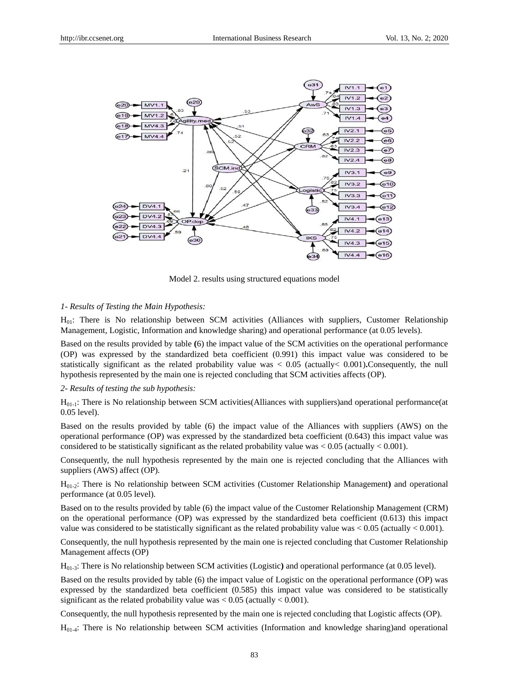

Model 2. results using structured equations model

#### *1- Results of Testing the Main Hypothesis:*

H01: There is No relationship between SCM activities (Alliances with suppliers, Customer Relationship Management, Logistic, Information and knowledge sharing) and operational performance (at 0.05 levels).

Based on the results provided by table **(**6) the impact value of the SCM activities on the operational performance (OP) was expressed by the standardized beta coefficient (0.991) this impact value was considered to be statistically significant as the related probability value was < 0.05 (actually< 0.001)**.**Consequently, the null hypothesis represented by the main one is rejected concluding that SCM activities affects (OP).

#### *2- Results of testing the sub hypothesis:*

 $H_{01-1}$ : There is No relationship between SCM activities (Alliances with suppliers) and operational performance (at 0.05 level).

Based on the results provided by table (6) the impact value of the Alliances with suppliers (AWS) on the operational performance (OP) was expressed by the standardized beta coefficient (0.643) this impact value was considered to be statistically significant as the related probability value was  $< 0.05$  (actually  $< 0.001$ ).

Consequently, the null hypothesis represented by the main one is rejected concluding that the Alliances with suppliers (AWS) affect (OP).

H01-2: There is No relationship between SCM activities (Customer Relationship Management**)** and operational performance (at 0.05 level).

Based on to the results provided by table (6) the impact value of the Customer Relationship Management (CRM) on the operational performance (OP) was expressed by the standardized beta coefficient (0.613) this impact value was considered to be statistically significant as the related probability value was  $< 0.05$  (actually  $< 0.001$ ).

Consequently, the null hypothesis represented by the main one is rejected concluding that Customer Relationship Management affects (OP)

H01-3: There is No relationship between SCM activities (Logistic**)** and operational performance (at 0.05 level).

Based on the results provided by table (6) the impact value of Logistic on the operational performance (OP) was expressed by the standardized beta coefficient (0.585) this impact value was considered to be statistically significant as the related probability value was  $< 0.05$  (actually  $< 0.001$ ).

Consequently, the null hypothesis represented by the main one is rejected concluding that Logistic affects (OP).

 $H_{01-4}$ : There is No relationship between SCM activities (Information and knowledge sharing)and operational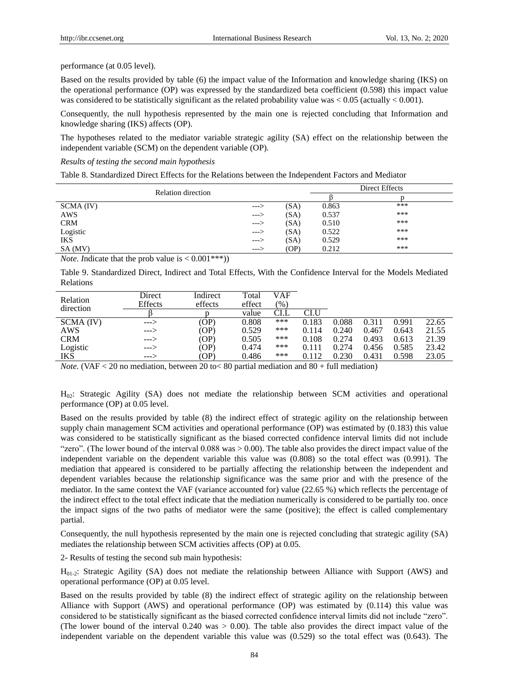performance (at 0.05 level).

Based on the results provided by table (6) the impact value of the Information and knowledge sharing (IKS) on the operational performance (OP) was expressed by the standardized beta coefficient (0.598) this impact value was considered to be statistically significant as the related probability value was < 0.05 (actually < 0.001).

Consequently, the null hypothesis represented by the main one is rejected concluding that Information and knowledge sharing (IKS) affects (OP).

The hypotheses related to the mediator variable strategic agility (SA) effect on the relationship between the independent variable (SCM) on the dependent variable (OP).

*Results of testing the second main hypothesis*

Table 8. Standardized Direct Effects for the Relations between the Independent Factors and Mediator

| Relation direction |      |  | Direct Effects |       |     |
|--------------------|------|--|----------------|-------|-----|
|                    |      |  |                |       |     |
| SCMA (IV)          | ---> |  | (SA)           | 0.863 | *** |
| AWS                | ---> |  | (SA)           | 0.537 | *** |
| <b>CRM</b>         | ---> |  | (SA)           | 0.510 | *** |
| Logistic           | ---> |  | (SA)           | 0.522 | *** |
| <b>IKS</b>         | ---> |  | (SA)           | 0.529 | *** |
| SA (MV)            | ---> |  | (OP)           | 0.212 | *** |

*Note.* Indicate that the prob value is  $< 0.001***$ <sup>\*\*\*</sup>)

Table 9. Standardized Direct, Indirect and Total Effects, With the Confidence Interval for the Models Mediated Relations

| Relation   | Direct<br>Effects | Indirect<br>effects | Total<br>effect | VAF<br>(96) |       |       |       |       |       |
|------------|-------------------|---------------------|-----------------|-------------|-------|-------|-------|-------|-------|
| direction  |                   |                     | value           | CI.L        | CI.U  |       |       |       |       |
| SCMA (IV)  | --->              | (OP)                | 0.808           | ***         | 0.183 | 0.088 | 0.31  | 0.991 | 22.65 |
| AWS        | $---$             | (OP)                | 0.529           | ***         | 0.114 | 0.240 | 0.467 | 0.643 | 21.55 |
| <b>CRM</b> | $---$             | (OP)                | 0.505           | ***         | 0.108 | 0.274 | 0.493 | 0.613 | 21.39 |
| Logistic   | $---$             | (OP)                | 0.474           | ***         | 0.111 | 0.274 | 0.456 | 0.585 | 23.42 |
| <b>IKS</b> | --->              | (OP)                | 0.486           | ***         | 0.112 | 0.230 | 0.431 | 0.598 | 23.05 |

*Note.* (VAF  $\lt$  20 no mediation, between 20 to  $\lt$  80 partial mediation and 80 + full mediation)

H02: Strategic Agility (SA) does not mediate the relationship between SCM activities and operational performance (OP) at 0.05 level.

Based on the results provided by table (8) the indirect effect of strategic agility on the relationship between supply chain management SCM activities and operational performance (OP) was estimated by (0.183) this value was considered to be statistically significant as the biased corrected confidence interval limits did not include "zero". (The lower bound of the interval  $0.088$  was  $> 0.00$ ). The table also provides the direct impact value of the independent variable on the dependent variable this value was (0.808) so the total effect was (0.991). The mediation that appeared is considered to be partially affecting the relationship between the independent and dependent variables because the relationship significance was the same prior and with the presence of the mediator. In the same context the VAF (variance accounted for) value (22.65 %) which reflects the percentage of the indirect effect to the total effect indicate that the mediation numerically is considered to be partially too. once the impact signs of the two paths of mediator were the same (positive); the effect is called complementary partial.

Consequently, the null hypothesis represented by the main one is rejected concluding that strategic agility (SA) mediates the relationship between SCM activities affects (OP) at 0.05.

2- Results of testing the second sub main hypothesis:

H01-2: Strategic Agility (SA) does not mediate the relationship between Alliance with Support (AWS) and operational performance (OP) at 0.05 level.

Based on the results provided by table (8) the indirect effect of strategic agility on the relationship between Alliance with Support (AWS) and operational performance (OP) was estimated by (0.114) this value was considered to be statistically significant as the biased corrected confidence interval limits did not include "zero". (The lower bound of the interval  $0.240$  was  $> 0.00$ ). The table also provides the direct impact value of the independent variable on the dependent variable this value was (0.529) so the total effect was (0.643). The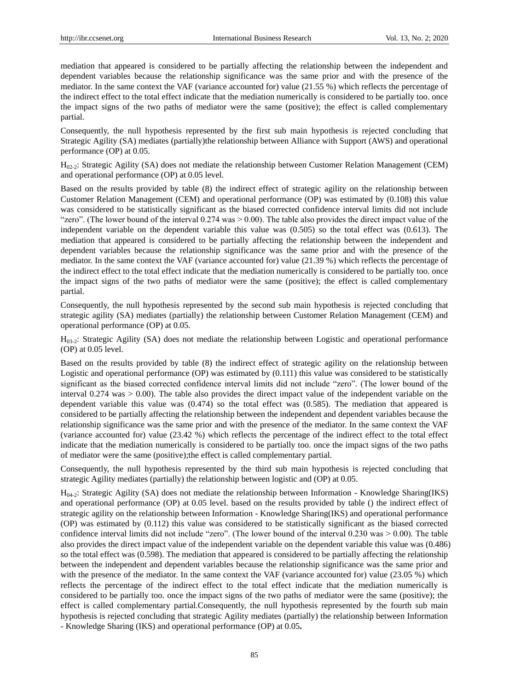mediation that appeared is considered to be partially affecting the relationship between the independent and dependent variables because the relationship significance was the same prior and with the presence of the mediator. In the same context the VAF (variance accounted for) value (21.55 %) which reflects the percentage of the indirect effect to the total effect indicate that the mediation numerically is considered to be partially too. once the impact signs of the two paths of mediator were the same (positive); the effect is called complementary partial.

Consequently, the null hypothesis represented by the first sub main hypothesis is rejected concluding that Strategic Agility (SA) mediates (partially)the relationship between Alliance with Support (AWS) and operational performance (OP) at 0.05.

H02-2: Strategic Agility (SA) does not mediate the relationship between Customer Relation Management (CEM) and operational performance (OP) at 0.05 level.

Based on the results provided by table (8) the indirect effect of strategic agility on the relationship between Customer Relation Management (CEM) and operational performance (OP) was estimated by (0.108) this value was considered to be statistically significant as the biased corrected confidence interval limits did not include "zero". (The lower bound of the interval  $0.274$  was  $> 0.00$ ). The table also provides the direct impact value of the independent variable on the dependent variable this value was (0.505) so the total effect was (0.613). The mediation that appeared is considered to be partially affecting the relationship between the independent and dependent variables because the relationship significance was the same prior and with the presence of the mediator. In the same context the VAF (variance accounted for) value (21.39 %) which reflects the percentage of the indirect effect to the total effect indicate that the mediation numerically is considered to be partially too. once the impact signs of the two paths of mediator were the same (positive); the effect is called complementary partial.

Consequently, the null hypothesis represented by the second sub main hypothesis is rejected concluding that strategic agility (SA) mediates (partially) the relationship between Customer Relation Management (CEM) and operational performance (OP) at 0.05.

H03-2: Strategic Agility (SA) does not mediate the relationship between Logistic and operational performance (OP) at 0.05 level.

Based on the results provided by table (8) the indirect effect of strategic agility on the relationship between Logistic and operational performance (OP) was estimated by (0.111) this value was considered to be statistically significant as the biased corrected confidence interval limits did not include "zero". (The lower bound of the interval 0.274 was > 0.00). The table also provides the direct impact value of the independent variable on the dependent variable this value was (0.474) so the total effect was (0.585). The mediation that appeared is considered to be partially affecting the relationship between the independent and dependent variables because the relationship significance was the same prior and with the presence of the mediator. In the same context the VAF (variance accounted for) value (23.42 %) which reflects the percentage of the indirect effect to the total effect indicate that the mediation numerically is considered to be partially too. once the impact signs of the two paths of mediator were the same (positive);the effect is called complementary partial.

Consequently, the null hypothesis represented by the third sub main hypothesis is rejected concluding that strategic Agility mediates (partially) the relationship between logistic and (OP) at 0.05.

 $H_{04-2}$ : Strategic Agility (SA) does not mediate the relationship between Information - Knowledge Sharing(IKS) and operational performance (OP) at 0.05 level. based on the results provided by table () the indirect effect of strategic agility on the relationship between Information - Knowledge Sharing(IKS) and operational performance (OP) was estimated by (0.112) this value was considered to be statistically significant as the biased corrected confidence interval limits did not include "zero". (The lower bound of the interval 0.230 was > 0.00). The table also provides the direct impact value of the independent variable on the dependent variable this value was (0.486) so the total effect was (0.598). The mediation that appeared is considered to be partially affecting the relationship between the independent and dependent variables because the relationship significance was the same prior and with the presence of the mediator. In the same context the VAF (variance accounted for) value (23.05 %) which reflects the percentage of the indirect effect to the total effect indicate that the mediation numerically is considered to be partially too. once the impact signs of the two paths of mediator were the same (positive); the effect is called complementary partial.Consequently, the null hypothesis represented by the fourth sub main hypothesis is rejected concluding that strategic Agility mediates (partially) the relationship between Information - Knowledge Sharing (IKS) and operational performance (OP) at 0.05**.**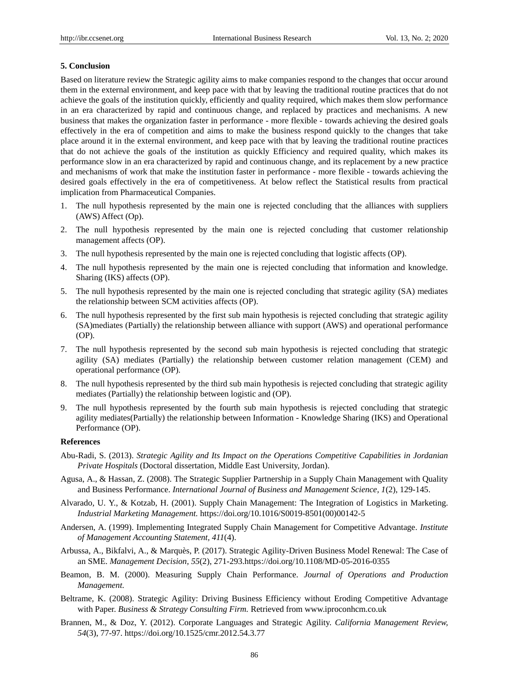#### **5. Conclusion**

Based on literature review the Strategic agility aims to make companies respond to the changes that occur around them in the external environment, and keep pace with that by leaving the traditional routine practices that do not achieve the goals of the institution quickly, efficiently and quality required, which makes them slow performance in an era characterized by rapid and continuous change, and replaced by practices and mechanisms. A new business that makes the organization faster in performance - more flexible - towards achieving the desired goals effectively in the era of competition and aims to make the business respond quickly to the changes that take place around it in the external environment, and keep pace with that by leaving the traditional routine practices that do not achieve the goals of the institution as quickly Efficiency and required quality, which makes its performance slow in an era characterized by rapid and continuous change, and its replacement by a new practice and mechanisms of work that make the institution faster in performance - more flexible - towards achieving the desired goals effectively in the era of competitiveness. At below reflect the Statistical results from practical implication from Pharmaceutical Companies.

- 1. The null hypothesis represented by the main one is rejected concluding that the alliances with suppliers (AWS) Affect (Op).
- 2. The null hypothesis represented by the main one is rejected concluding that customer relationship management affects (OP).
- 3. The null hypothesis represented by the main one is rejected concluding that logistic affects (OP).
- 4. The null hypothesis represented by the main one is rejected concluding that information and knowledge. Sharing (IKS) affects (OP).
- 5. The null hypothesis represented by the main one is rejected concluding that strategic agility (SA) mediates the relationship between SCM activities affects (OP).
- 6. The null hypothesis represented by the first sub main hypothesis is rejected concluding that strategic agility (SA)mediates (Partially) the relationship between alliance with support (AWS) and operational performance (OP).
- 7. The null hypothesis represented by the second sub main hypothesis is rejected concluding that strategic agility (SA) mediates (Partially) the relationship between customer relation management (CEM) and operational performance (OP).
- 8. The null hypothesis represented by the third sub main hypothesis is rejected concluding that strategic agility mediates (Partially) the relationship between logistic and (OP).
- 9. The null hypothesis represented by the fourth sub main hypothesis is rejected concluding that strategic agility mediates(Partially) the relationship between Information - Knowledge Sharing (IKS) and Operational Performance (OP).

#### **References**

- Abu-Radi, S. (2013). *Strategic Agility and Its Impact on the Operations Competitive Capabilities in Jordanian Private Hospitals* (Doctoral dissertation, Middle East University, Jordan).
- Agusa, A., & Hassan, Z. (2008). The Strategic Supplier Partnership in a Supply Chain Management with Quality and Business Performance. *International Journal of Business and Management Science, 1*(2), 129-145.
- Alvarado, U. Y., & Kotzab, H. (2001). Supply Chain Management: The Integration of Logistics in Marketing. *Industrial Marketing Management.* https://doi.org/10.1016/S0019-8501(00)00142-5
- Andersen, A. (1999). Implementing Integrated Supply Chain Management for Competitive Advantage. *Institute of Management Accounting Statement, 411*(4).
- Arbussa, A., Bikfalvi, A., & Marquès, P. (2017). Strategic Agility-Driven Business Model Renewal: The Case of an SME. *Management Decision, 55*(2), 271-293.https://doi.org/10.1108/MD-05-2016-0355
- Beamon, B. M. (2000). Measuring Supply Chain Performance. *Journal of Operations and Production Management.*
- Beltrame, K. (2008). Strategic Agility: Driving Business Efficiency without Eroding Competitive Advantage with Paper. *Business & Strategy Consulting Firm.* Retrieved from www.iproconhcm.co.uk
- Brannen, M., & Doz, Y. (2012). Corporate Languages and Strategic Agility. *California Management Review, 54*(3), 77-97. https://doi.org/10.1525/cmr.2012.54.3.77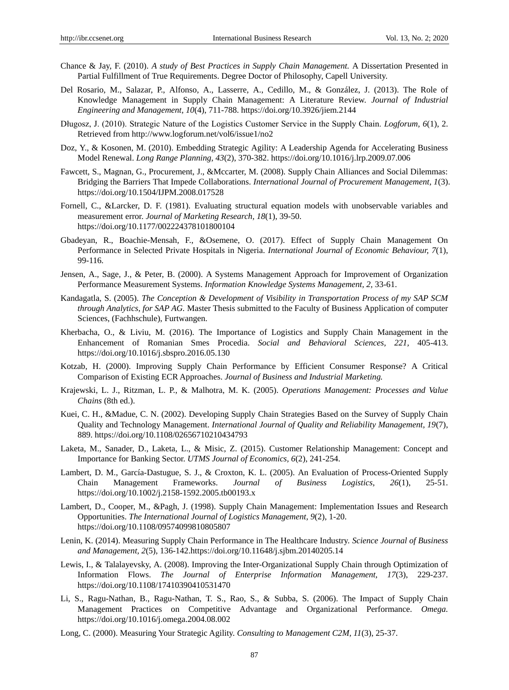- Chance & Jay, F. (2010). *A study of Best Practices in Supply Chain Management.* A Dissertation Presented in Partial Fulfillment of True Requirements. Degree Doctor of Philosophy, Capell University.
- Del Rosario, M., Salazar, P., Alfonso, A., Lasserre, A., Cedillo, M., & González, J. (2013). The Role of Knowledge Management in Supply Chain Management: A Literature Review. *Journal of Industrial Engineering and Management, 10*(4), 711-788. https://doi.org/10.3926/jiem.2144
- Długosz, J. (2010). Strategic Nature of the Logistics Customer Service in the Supply Chain. *Logforum, 6*(1), 2. Retrieved from<http://www.logforum.net/vol6/issue1/no2>
- Doz, Y., & Kosonen, M. (2010). Embedding Strategic Agility: A Leadership Agenda for Accelerating Business Model Renewal. *Long Range Planning, 43*(2), 370-382. https://doi.org/10.1016/j.lrp.2009.07.006
- Fawcett, S., Magnan, G., Procurement, J., &Mccarter, M. (2008). Supply Chain Alliances and Social Dilemmas: Bridging the Barriers That Impede Collaborations. *International Journal of Procurement Management, 1*(3). https://doi.org/10.1504/IJPM.2008.017528
- Fornell, C., &Larcker, D. F. (1981). Evaluating structural equation models with unobservable variables and measurement error. *Journal of Marketing Research, 18*(1), 39-50. https://doi.org/10.1177/002224378101800104
- Gbadeyan, R., Boachie-Mensah, F., &Osemene, O. (2017). Effect of Supply Chain Management On Performance in Selected Private Hospitals in Nigeria. *International Journal of Economic Behaviour, 7*(1), 99-116*.*
- Jensen, A., Sage, J., & Peter, B. (2000). A Systems Management Approach for Improvement of Organization Performance Measurement Systems. *Information Knowledge Systems Management, 2,* 33-61.
- Kandagatla, S. (2005). *The Conception & Development of Visibility in Transportation Process of my SAP SCM through Analytics, for SAP AG.* Master Thesis submitted to the Faculty of Business Application of computer Sciences, (Fachhschule), Furtwangen.
- Kherbacha, O., & Liviu, M. (2016). The Importance of Logistics and Supply Chain Management in the Enhancement of Romanian Smes Procedia. *Social and Behavioral Sciences, 221,* 405-413. https://doi.org/10.1016/j.sbspro.2016.05.130
- Kotzab, H. (2000). Improving Supply Chain Performance by Efficient Consumer Response? A Critical Comparison of Existing ECR Approaches. *Journal of Business and Industrial Marketing.*
- Krajewski, L. J., Ritzman, L. P., & Malhotra, M. K. (2005). *Operations Management: Processes and Value Chains* (8th ed.).
- Kuei, C. H., &Madue, C. N. (2002). Developing Supply Chain Strategies Based on the Survey of Supply Chain Quality and Technology Management. *International Journal of Quality and Reliability Management, 19*(7), 889. https://doi.org/10.1108/02656710210434793
- Laketa, M., Sanader, D., Laketa, L., & Misic, Z. (2015). Customer Relationship Management: Concept and Importance for Banking Sector. *UTMS Journal of Economics, 6*(2), 241-254.
- Lambert, D. M., Garc á-Dastugue, S. J., & Croxton, K. L. (2005). An Evaluation of Process-Oriented Supply Chain Management Frameworks. *Journal of Business Logistics, 26*(1), 25-51. https://doi.org/10.1002/j.2158-1592.2005.tb00193.x
- [Lambert, D.,](https://www.emerald.com/insight/search?q=Douglas%20M.%20Lambert) [Cooper, M.,](https://www.emerald.com/insight/search?q=Martha%20C.%20Cooper) [&Pagh, J.](https://www.emerald.com/insight/search?q=Janus%20D.%20Pagh) (1998). Supply Chain Management: Implementation Issues and Research Opportunities. *The [International Journal of Logistics Management, 9](https://www.emerald.com/insight/publication/issn/0957-4093)*(2), 1-20. https://doi.org/10.1108/09574099810805807
- Lenin, K. (2014). Measuring Supply Chain Performance in The Healthcare Industry. *Science Journal of Business and Management, 2*(5), 136-142.https://doi.org/10.11648/j.sjbm.20140205.14
- Lewis, I., & Talalayevsky, A. (2008). Improving the Inter-Organizational Supply Chain through Optimization of Information Flows. *The Journal of Enterprise Information Management, 17*(3), 229-237. https://doi.org/10.1108/17410390410531470
- Li, S., Ragu-Nathan, B., Ragu-Nathan, T. S., Rao, S., & Subba, S. (2006). The Impact of Supply Chain Management Practices on Competitive Advantage and Organizational Performance. *Omega.* https://doi.org/10.1016/j.omega.2004.08.002
- Long, C. (2000). Measuring Your Strategic Agility. *Consulting to Management C2M, 11*(3), 25-37.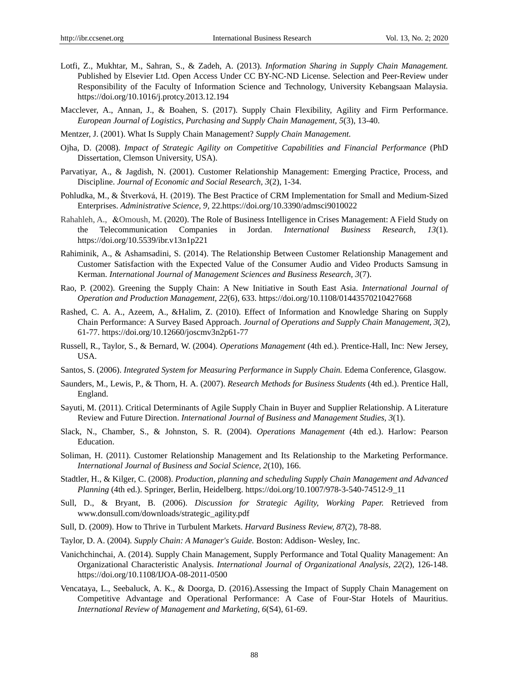- Lotfi, Z., Mukhtar, M., Sahran, S., & Zadeh, A. (2013). *Information Sharing in Supply Chain Management.* Published by Elsevier Ltd. Open Access Under CC BY-NC-ND License. Selection and Peer-Review under Responsibility of the Faculty of Information Science and Technology, University Kebangsaan Malaysia. https://doi.org/10.1016/j.protcy.2013.12.194
- Macclever, A., Annan, J., & Boahen, S. (2017). Supply Chain Flexibility, Agility and Firm Performance. *European Journal of Logistics, Purchasing and Supply Chain Management, 5*(3), 13-40.
- Mentzer, J. (2001). What Is Supply Chain Management? *Supply Chain Management.*
- Ojha, D. (2008). *Impact of Strategic Agility on Competitive Capabilities and Financial Performance* (PhD Dissertation, Clemson University, USA).
- Parvatiyar, A., & Jagdish, N. (2001). Customer Relationship Management: Emerging Practice, Process, and Discipline. *Journal of Economic and Social Research, 3*(2), 1-34.
- Pohludka, M., & Štverková, H. (2019). The Best Practice of CRM Implementation for Small and Medium-Sized Enterprises. *Administrative Science, 9,* 22.https://doi.org/10.3390/admsci9010022
- Rahahleh, A., &Omoush, M. (2020). The Role of Business Intelligence in Crises Management: A Field Study on the Telecommunication Companies in Jordan. *International Business Research, 13*(1). https://doi.org/10.5539/ibr.v13n1p221
- Rahiminik, A., & Ashamsadini, S. (2014). The Relationship Between Customer Relationship Management and Customer Satisfaction with the Expected Value of the Consumer Audio and Video Products Samsung in Kerman. *International Journal of Management Sciences and Business Research, 3*(7).
- Rao, P. (2002). Greening the Supply Chain: A New Initiative in South East Asia. *International Journal of Operation and Production Management, 22*(6), 633. https://doi.org/10.1108/01443570210427668
- Rashed, C. A. A., Azeem, A., &Halim, Z. (2010). Effect of Information and Knowledge Sharing on Supply Chain Performance: A Survey Based Approach. *Journal of Operations and Supply Chain Management, 3*(2), 61-77. https://doi.org/10.12660/joscmv3n2p61-77
- Russell, R., Taylor, S., & Bernard, W. (2004). *Operations Management* (4th ed.). Prentice-Hall, Inc: New Jersey, USA.
- Santos, S. (2006). *Integrated System for Measuring Performance in Supply Chain.* Edema Conference, Glasgow.
- Saunders, M., Lewis, P., & Thorn, H. A. (2007). *Research Methods for Business Students* (4th ed.). Prentice Hall, England.
- Sayuti, M. (2011). Critical Determinants of Agile Supply Chain in Buyer and Supplier Relationship. A Literature Review and Future Direction. *International Journal of Business and Management Studies, 3*(1).
- Slack, N., Chamber, S., & Johnston, S. R. (2004). *Operations Management* (4th ed.). Harlow: Pearson Education.
- Soliman, H. (2011). Customer Relationship Management and Its Relationship to the Marketing Performance. *International Journal of Business and Social Science, 2*(10), 166.
- Stadtler, H., & Kilger, C. (2008). *Production, planning and scheduling Supply Chain Management and Advanced Planning* (4th ed.). Springer, Berlin, Heidelberg. https://doi.org/10.1007/978-3-540-74512-9\_11
- Sull, D., & Bryant, B. (2006). *Discussion for Strategic Agility, Working Paper.* Retrieved from www.donsull.com/downloads/strategic\_agility.pdf
- Sull, D. (2009). How to Thrive in Turbulent Markets. *Harvard Business Review, 87*(2), 78-88.
- Taylor, D. A. (2004). *Supply Chain: A Manager's Guide.* Boston: Addison- Wesley, Inc.
- Vanichchinchai, A. (2014). Supply Chain Management, Supply Performance and Total Quality Management: An Organizational Characteristic Analysis. *International Journal of Organizational Analysis, 22*(2), 126-148. https://doi.org/10.1108/IJOA-08-2011-0500
- Vencataya, L., Seebaluck, A. K., & Doorga, D. (2016).Assessing the Impact of Supply Chain Management on Competitive Advantage and Operational Performance: A Case of Four-Star Hotels of Mauritius. *International Review of Management and Marketing, 6*(S4), 61-69.